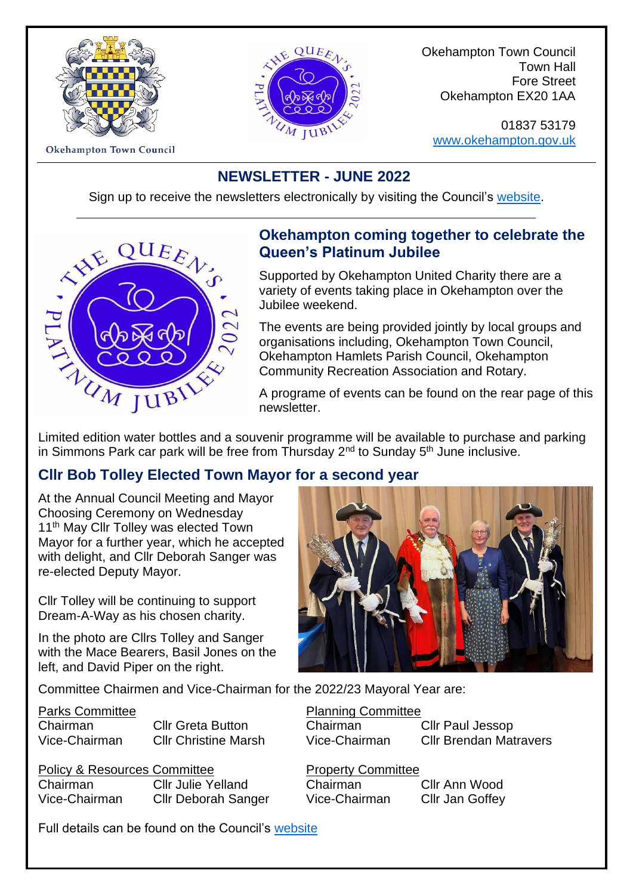



Okehampton Town Council Town Hall Fore Street Okehampton EX20 1AA

01837 53179 [www.okehampton.gov.uk](http://www.okehampton.gov.uk/)

**Okehampton Town Council** 

#### **NEWSLETTER - JUNE 2022**

Sign up to receive the newsletters electronically by visiting the Council's [website.](https://www.okehampton.gov.uk/)



#### **Okehampton coming together to celebrate the Queen's Platinum Jubilee**

Supported by Okehampton United Charity there are a variety of events taking place in Okehampton over the Jubilee weekend.

The events are being provided jointly by local groups and organisations including, Okehampton Town Council, Okehampton Hamlets Parish Council, Okehampton Community Recreation Association and Rotary.

A programe of events can be found on the rear page of this newsletter.

Limited edition water bottles and a souvenir programme will be available to purchase and parking in Simmons Park car park will be free from Thursday  $2<sup>nd</sup>$  to Sunday  $5<sup>th</sup>$  June inclusive.

#### **Cllr Bob Tolley Elected Town Mayor for a second year**

At the Annual Council Meeting and Mayor Choosing Ceremony on Wednesday 11<sup>th</sup> May Cllr Tolley was elected Town Mayor for a further year, which he accepted with delight, and Cllr Deborah Sanger was re-elected Deputy Mayor.

Cllr Tolley will be continuing to support Dream-A-Way as his chosen charity.

In the photo are Cllrs Tolley and Sanger with the Mace Bearers, Basil Jones on the left, and David Piper on the right.

Committee Chairmen and Vice-Chairman for the 2022/23 Mayoral Year are:

### Parks Committee **Planning Committee Planning Committee**

Chairman Cllr Greta Button Chairman Cllr Paul Jessop Vice-Chairman Cllr Christine Marsh Vice-Chairman Cllr Brendan Matravers

Policy & Resources Committee **Property Committee** Chairman Cllr Julie Yelland Chairman Cllr Ann Wood Vice-Chairman Cllr Deborah Sanger Vice-Chairman Cllr Jan Goffey

Full details can be found on the Council's [website](https://www.okehampton.gov.uk/council.php)

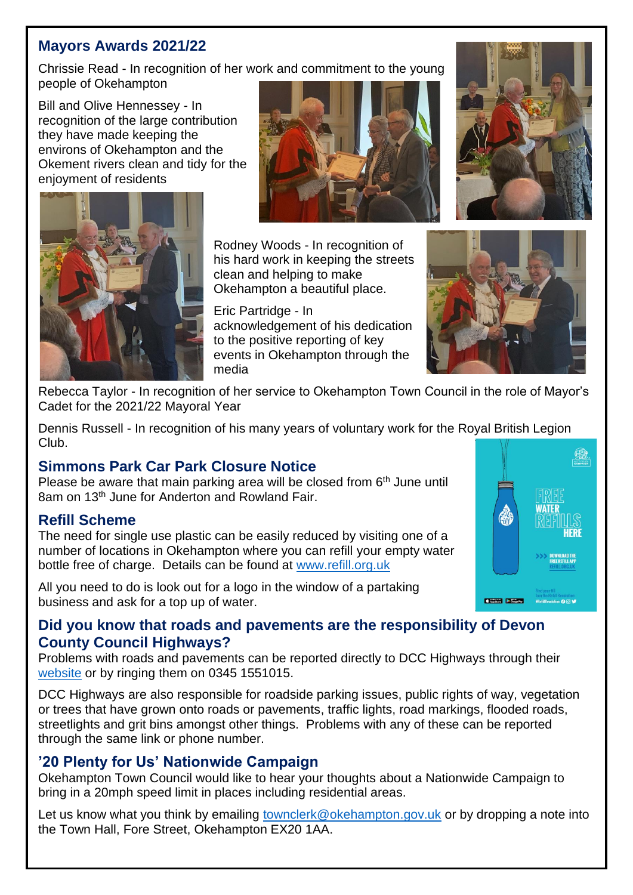#### **Mayors Awards 2021/22**

Chrissie Read - In recognition of her work and commitment to the young people of Okehampton

Bill and Olive Hennessey - In recognition of the large contribution they have made keeping the environs of Okehampton and the Okement rivers clean and tidy for the enjoyment of residents





Rodney Woods - In recognition of his hard work in keeping the streets clean and helping to make Okehampton a beautiful place.

Eric Partridge - In acknowledgement of his dedication to the positive reporting of key events in Okehampton through the media



Rebecca Taylor - In recognition of her service to Okehampton Town Council in the role of Mayor's Cadet for the 2021/22 Mayoral Year

Dennis Russell - In recognition of his many years of voluntary work for the Royal British Legion Club.

#### **Simmons Park Car Park Closure Notice**

Please be aware that main parking area will be closed from  $6<sup>th</sup>$  June until 8am on 13<sup>th</sup> June for Anderton and Rowland Fair.

#### **Refill Scheme**

The need for single use plastic can be easily reduced by visiting one of a number of locations in Okehampton where you can refill your empty water bottle free of charge. Details can be found at [www.refill.org.uk](http://www.refill.org.uk/)

All you need to do is look out for a logo in the window of a partaking business and ask for a top up of water.



#### **Did you know that roads and pavements are the responsibility of Devon County Council Highways?**

Problems with roads and pavements can be reported directly to DCC Highways through their [website](https://www.devon.gov.uk/roadsandtransport/report-a-problem/report-a-parking-problem/) or by ringing them on [0345 1551015.](tel:03451551015)

DCC Highways are also responsible for roadside parking issues, public rights of way, vegetation or trees that have grown onto roads or pavements, traffic lights, road markings, flooded roads, streetlights and grit bins amongst other things. Problems with any of these can be reported through the same link or phone number.

#### **'20 Plenty for Us' Nationwide Campaign**

Okehampton Town Council would like to hear your thoughts about a Nationwide Campaign to bring in a 20mph speed limit in places including residential areas.

Let us know what you think by emailing [townclerk@okehampton.gov.uk](mailto:townclerk@okehampton.gov.uk) or by dropping a note into the Town Hall, Fore Street, Okehampton EX20 1AA.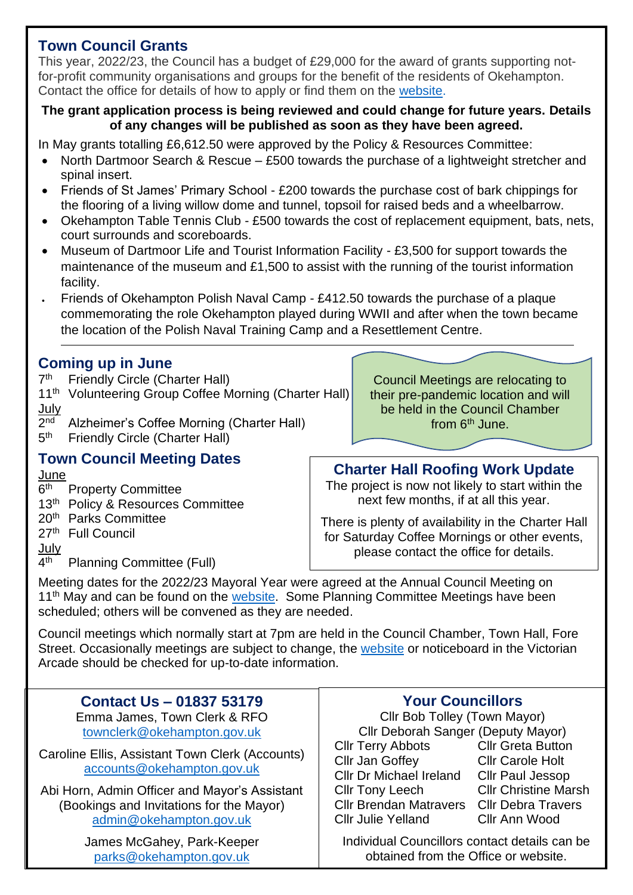#### **Town Council Grants**

This year, 2022/23, the Council has a budget of £29,000 for the award of grants supporting notfor-profit community organisations and groups for the benefit of the residents of Okehampton. Contact the office for details of how to apply or find them on the [website.](https://www.okehampton.gov.uk/grants.php)

#### **The grant application process is being reviewed and could change for future years. Details of any changes will be published as soon as they have been agreed.**

In May grants totalling £6,612.50 were approved by the Policy & Resources Committee:

- North Dartmoor Search & Rescue £500 towards the purchase of a lightweight stretcher and spinal insert.
- Friends of St James' Primary School £200 towards the purchase cost of bark chippings for the flooring of a living willow dome and tunnel, topsoil for raised beds and a wheelbarrow.
- Okehampton Table Tennis Club £500 towards the cost of replacement equipment, bats, nets, court surrounds and scoreboards.
- Museum of Dartmoor Life and Tourist Information Facility £3,500 for support towards the maintenance of the museum and £1,500 to assist with the running of the tourist information facility.
- Friends of Okehampton Polish Naval Camp £412.50 towards the purchase of a plaque commemorating the role Okehampton played during WWII and after when the town became the location of the Polish Naval Training Camp and a Resettlement Centre.

#### **Coming up in June**

- $7<sup>th</sup>$ **Friendly Circle (Charter Hall)**
- 11<sup>th</sup> Volunteering Group Coffee Morning (Charter Hall) July
- $2<sub>nd</sub>$ Alzheimer's Coffee Morning (Charter Hall)  $5<sup>th</sup>$ Friendly Circle (Charter Hall)

#### **Town Council Meeting Dates**

**June** 

- $6<sup>th</sup>$ **Property Committee**
- 13<sup>th</sup> Policy & Resources Committee
- 20th Parks Committee

27<sup>th</sup> Full Council

July

 $4<sup>th</sup>$ Planning Committee (Full)

Council Meetings are relocating to their pre-pandemic location and will be held in the Council Chamber from  $6<sup>th</sup>$  June.

#### **Charter Hall Roofing Work Update**

The project is now not likely to start within the next few months, if at all this year.

There is plenty of availability in the Charter Hall for Saturday Coffee Mornings or other events, please contact the office for details.

Meeting dates for the 2022/23 Mayoral Year were agreed at the Annual Council Meeting on  $11<sup>th</sup>$  May and can be found on the [website.](https://www.okehampton.gov.uk/meetings.php) Some Planning Committee Meetings have been scheduled; others will be convened as they are needed.

Council meetings which normally start at 7pm are held in the Council Chamber, Town Hall, Fore Street. Occasionally meetings are subject to change, the [website](https://www.okehampton.gov.uk/) or noticeboard in the Victorian Arcade should be checked for up-to-date information.

| <b>Contact Us - 01837 53179</b>                                                                                                                                                                       | <b>Your Councillors</b>                                                                                                                                               |                                                                                                                                                             |
|-------------------------------------------------------------------------------------------------------------------------------------------------------------------------------------------------------|-----------------------------------------------------------------------------------------------------------------------------------------------------------------------|-------------------------------------------------------------------------------------------------------------------------------------------------------------|
| Emma James, Town Clerk & RFO                                                                                                                                                                          | Cllr Bob Tolley (Town Mayor)                                                                                                                                          |                                                                                                                                                             |
| townclerk@okehampton.gov.uk                                                                                                                                                                           | Cllr Deborah Sanger (Deputy Mayor)                                                                                                                                    |                                                                                                                                                             |
| Caroline Ellis, Assistant Town Clerk (Accounts)<br>accounts@okehampton.gov.uk<br>Abi Horn, Admin Officer and Mayor's Assistant<br>(Bookings and Invitations for the Mayor)<br>admin@okehampton.gov.uk | <b>CIIr Terry Abbots</b><br>Cllr Jan Goffey<br><b>Cllr Dr Michael Ireland</b><br><b>Cllr Tony Leech</b><br><b>Cllr Brendan Matravers</b><br><b>CIIr Julie Yelland</b> | <b>Cllr Greta Button</b><br><b>Cllr Carole Holt</b><br><b>Cllr Paul Jessop</b><br><b>Cllr Christine Marsh</b><br><b>Cllr Debra Travers</b><br>Cllr Ann Wood |
| James McGahey, Park-Keeper                                                                                                                                                                            | Individual Councillors contact details can be                                                                                                                         |                                                                                                                                                             |
| parks@okehampton.gov.uk                                                                                                                                                                               | obtained from the Office or website.                                                                                                                                  |                                                                                                                                                             |